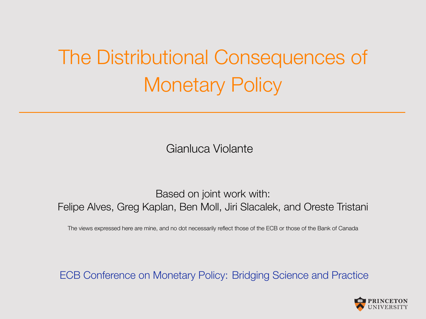## The Distributional Consequences of Monetary Policy

Gianluca Violante

Based on joint work with: Felipe Alves, Greg Kaplan, Ben Moll, Jiri Slacalek, and Oreste Tristani

The views expressed here are mine, and no dot necessarily reflect those of the ECB or those of the Bank of Canada

ECB Conference on Monetary Policy: Bridging Science and Practice

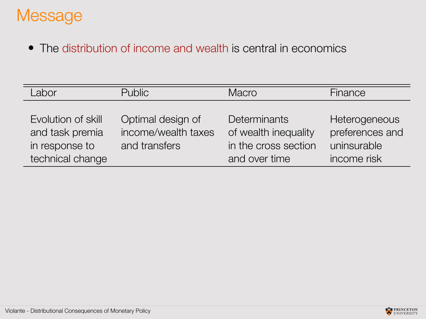### Message

The distribution of income and wealth is central in economics

| Labor                                                                       | <b>Public</b>                                             | Macro                                                                         | Finance                                                        |
|-----------------------------------------------------------------------------|-----------------------------------------------------------|-------------------------------------------------------------------------------|----------------------------------------------------------------|
| Evolution of skill<br>and task premia<br>in response to<br>technical change | Optimal design of<br>income/wealth taxes<br>and transfers | Determinants<br>of wealth inequality<br>in the cross section<br>and over time | Heterogeneous<br>preferences and<br>uninsurable<br>income risk |

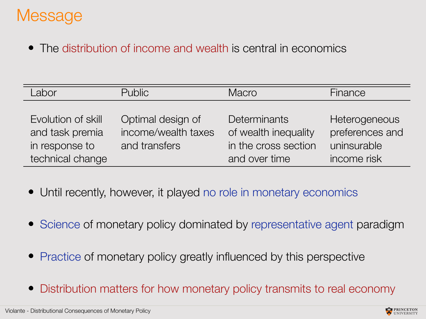### **Message**

The distribution of income and wealth is central in economics

| Labor              | <b>Public</b>       | Macro                | Finance         |
|--------------------|---------------------|----------------------|-----------------|
|                    |                     |                      |                 |
| Evolution of skill | Optimal design of   | Determinants         | Heterogeneous   |
| and task premia    | income/wealth taxes | of wealth inequality | preferences and |
| in response to     | and transfers       | in the cross section | uninsurable     |
| technical change   |                     | and over time        | income risk     |

- Until recently, however, it played no role in monetary economics
- Science of monetary policy dominated by representative agent paradigm
- Practice of monetary policy greatly influenced by this perspective
- Distribution matters for how monetary policy transmits to real economy

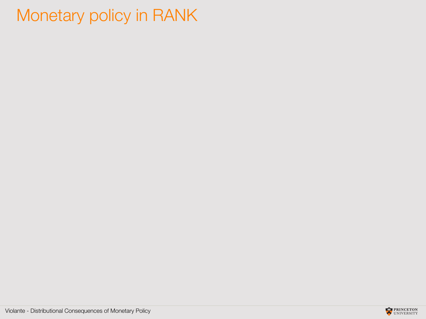### Monetary policy in RANK

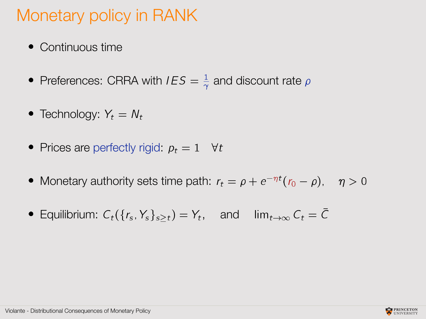### Monetary policy in RANK

- Continuous time
- Preferences: CRRA with  $IES = \frac{1}{\gamma}$  $\frac{1}{\gamma}$  and discount rate  $\rho$
- Technology:  $Y_t = N_t$
- Prices are perfectly rigid:  $p_t = 1$   $\forall t$
- Monetary authority sets time path:  $r_t = \rho + e^{-\eta t} (r_0 \rho)$ ,  $\eta > 0$
- **Equilibrium:**  $C_t(\lbrace r_s, Y_s \rbrace_{s \geq t}) = Y_t$ , and  $\lim_{t \to \infty} C_t = \overline{C}$

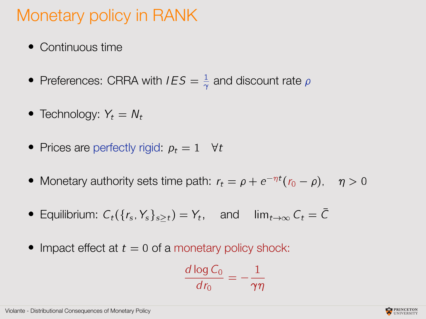### Monetary policy in RANK

- Continuous time
- Preferences: CRRA with  $IES = \frac{1}{\gamma}$  $\frac{1}{\gamma}$  and discount rate  $\rho$
- Technology:  $Y_t = N_t$
- Prices are perfectly rigid:  $p_t = 1$   $\forall t$
- Monetary authority sets time path:  $r_t = \rho + e^{-\eta t} (r_0 \rho)$ ,  $\eta > 0$
- **Equilibrium:**  $C_t(\lbrace r_s, Y_s \rbrace_{s \geq t}) = Y_t$ , and  $\lim_{t \to \infty} C_t = \overline{C}$
- Impact effect at  $t = 0$  of a monetary policy shock:

$$
\frac{d \log C_0}{d r_0} = -\frac{1}{\gamma \eta}
$$

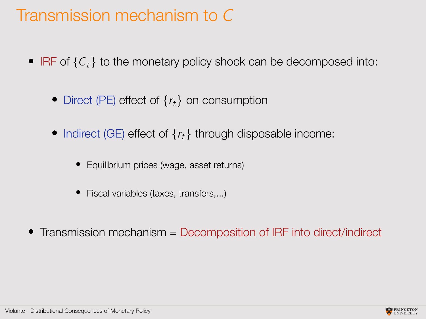### Transmission mechanism to C

- IRF of  ${C<sub>t</sub>}$  to the monetary policy shock can be decomposed into:
	- Direct (PE) effect of  $\{r_t\}$  on consumption
	- Indirect (GE) effect of  $\{r_t\}$  through disposable income:
		- Equilibrium prices (wage, asset returns)
		- Fiscal variables (taxes, transfers,...)
- Transmission mechanism = Decomposition of IRF into direct/indirect

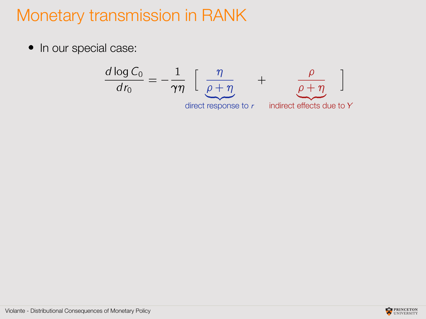### Monetary transmission in RANK

• In our special case:

$$
\frac{d \log C_0}{dr_0} = -\frac{1}{\gamma \eta} \left[ \frac{\eta}{\underbrace{\rho + \eta}} + \underbrace{\frac{\rho}{\rho + \eta}}_{\text{direct response to } r} \right]
$$

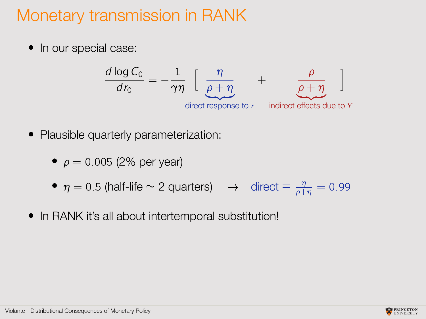### Monetary transmission in RANK

• In our special case:

$$
\frac{d \log C_0}{dr_0} = -\frac{1}{\gamma \eta} \left[ \frac{\eta}{\underbrace{\rho + \eta}} + \underbrace{\frac{\rho}{\rho + \eta}}_{\text{direct response to } r} \right]
$$

- Plausible quarterly parameterization:
	- $\rho = 0.005$  (2% per year)
	- $\eta = 0.5$  (half-life  $\simeq 2$  quarters)  $\rightarrow$  direct  $\equiv \frac{\eta}{\rho + \eta} = 0.99$
- In RANK it's all about intertemporal substitution!

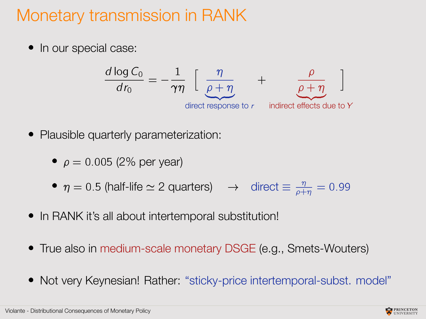### Monetary transmission in RANK

• In our special case:

$$
\frac{d \log C_0}{dr_0} = -\frac{1}{\gamma \eta} \left[ \frac{\eta}{\underbrace{\rho + \eta}} + \frac{\rho}{\underbrace{\rho + \eta}} \right]
$$
  
direct response to r indicate effects due to Y

- Plausible quarterly parameterization:
	- $\rho = 0.005$  (2% per year)
	- $\eta = 0.5$  (half-life  $\simeq 2$  quarters)  $\rightarrow$  direct  $\equiv \frac{\eta}{\rho + \eta} = 0.99$
- In RANK it's all about intertemporal substitution!
- True also in medium-scale monetary DSGE (e.g., Smets-Wouters)
- Not very Keynesian! Rather: "sticky-price intertemporal-subst. model"

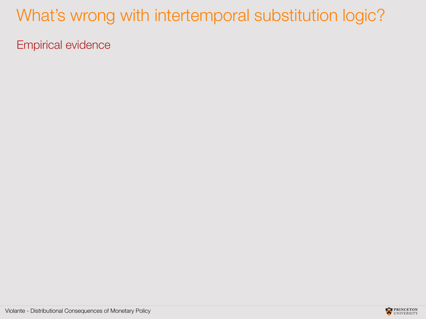### What's wrong with intertemporal substitution logic?

Empirical evidence

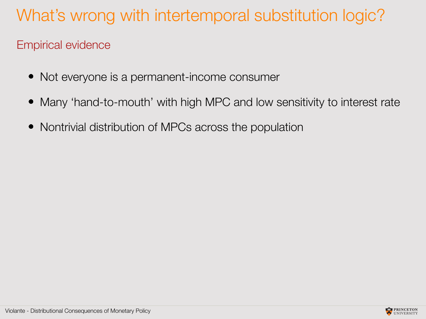### What's wrong with intertemporal substitution logic?

#### Empirical evidence

- Not everyone is a permanent-income consumer
- Many 'hand-to-mouth' with high MPC and low sensitivity to interest rate
- Nontrivial distribution of MPCs across the population

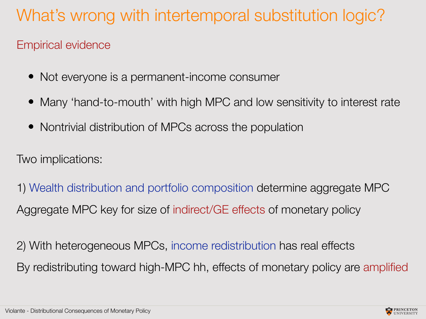### What's wrong with intertemporal substitution logic?

#### Empirical evidence

- Not everyone is a permanent-income consumer
- Many 'hand-to-mouth' with high MPC and low sensitivity to interest rate
- Nontrivial distribution of MPCs across the population

Two implications:

1) Wealth distribution and portfolio composition determine aggregate MPC Aggregate MPC key for size of indirect/GE effects of monetary policy

2) With heterogeneous MPCs, income redistribution has real effects By redistributing toward high-MPC hh, effects of monetary policy are amplified

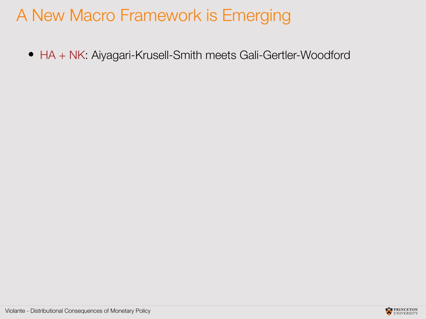### A New Macro Framework is Emerging

HA + NK: Aiyagari-Krusell-Smith meets Gali-Gertler-Woodford

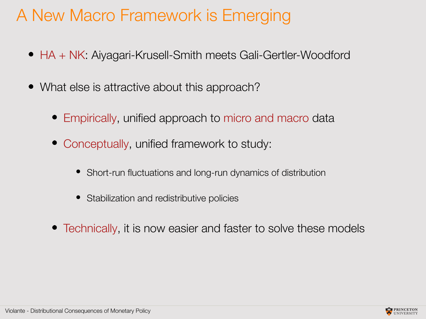### A New Macro Framework is Emerging

- HA + NK: Aiyagari-Krusell-Smith meets Gali-Gertler-Woodford
- What else is attractive about this approach?
	- Empirically, unified approach to micro and macro data
	- Conceptually, unified framework to study:
		- Short-run fluctuations and long-run dynamics of distribution
		- Stabilization and redistributive policies
	- Technically, it is now easier and faster to solve these models

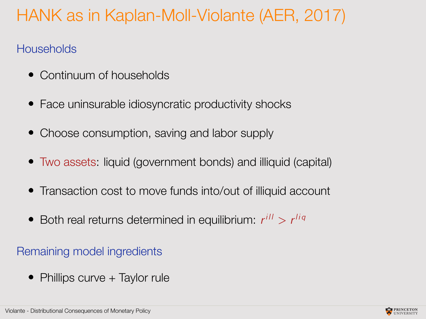### HANK as in Kaplan-Moll-Violante (AER, 2017)

#### **Households**

- Continuum of households
- Face uninsurable idiosyncratic productivity shocks
- Choose consumption, saving and labor supply
- Two assets: liquid (government bonds) and illiquid (capital)
- Transaction cost to move funds into/out of illiquid account
- Both real returns determined in equilibrium:  $r^{ill} > r^{liq}$

#### Remaining model ingredients

• Phillips curve + Taylor rule

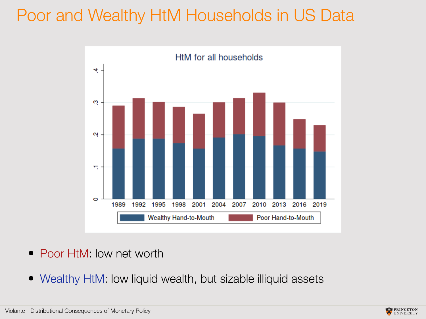### Poor and Wealthy HtM Households in US Data



- Poor HtM: low net worth
- Wealthy HtM: low liquid wealth, but sizable illiquid assets

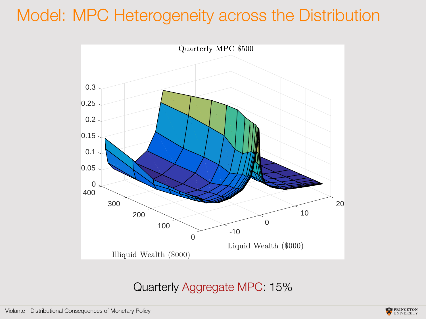### Model: MPC Heterogeneity across the Distribution



#### Quarterly Aggregate MPC: 15%

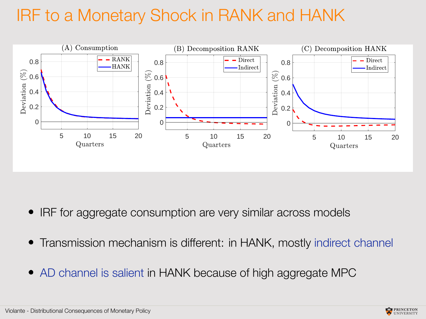### IRF to a Monetary Shock in RANK and HANK



- IRF for aggregate consumption are very similar across models
- Transmission mechanism is different: in HANK, mostly indirect channel
- AD channel is salient in HANK because of high aggregate MPC

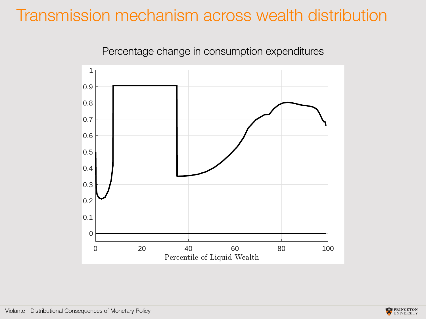### Transmission mechanism across wealth distribution





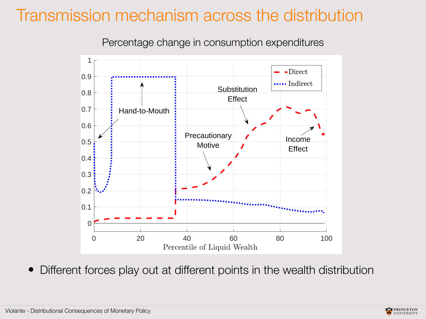### Transmission mechanism across the distribution



Percentage change in consumption expenditures

Different forces play out at different points in the wealth distribution

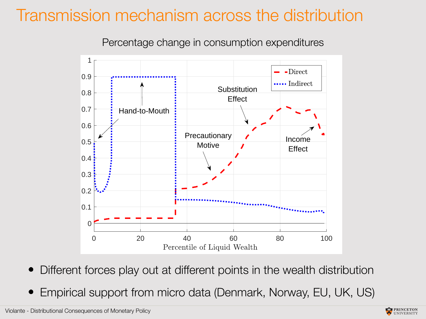### Transmission mechanism across the distribution



Percentage change in consumption expenditures

- Different forces play out at different points in the wealth distribution
- Empirical support from micro data (Denmark, Norway, EU, UK, US)

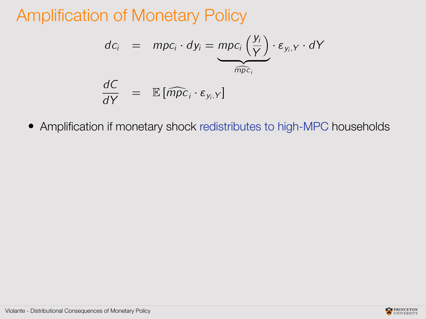### Amplification of Monetary Policy

$$
dc_i = mpc_i \cdot dy_i = \underbrace{mpc_i \left(\frac{y_i}{Y}\right)}_{\widehat{mpc}_i} \cdot \varepsilon_{y_i, Y} \cdot dY
$$

$$
\frac{dC}{dY} = \mathbb{E}[\widehat{mpc}_i \cdot \varepsilon_{y_i, Y}]
$$

Amplification if monetary shock redistributes to high-MPC households

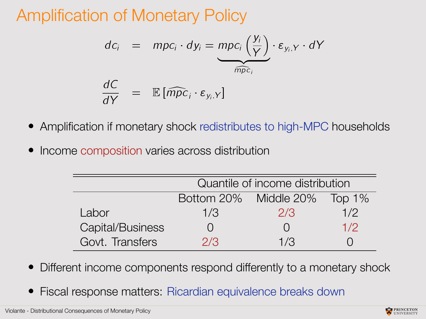### Amplification of Monetary Policy

$$
dc_i = mpc_i \cdot dy_i = \underbrace{mpc_i \left(\frac{y_i}{Y}\right)}_{\widehat{mpc_i}} \cdot \varepsilon_{y_i, Y} \cdot dY
$$

$$
\frac{dC}{dY} = \mathbb{E}[\widehat{mpc_i} \cdot \varepsilon_{y_i, Y}]
$$

- Amplification if monetary shock redistributes to high-MPC households
- Income composition varies across distribution

|                  | Quantile of income distribution |                  |        |  |
|------------------|---------------------------------|------------------|--------|--|
|                  | Bottom 20% Middle 20%           |                  | Top 1% |  |
| Labor            | 1/3                             | 2/3              | 1/2    |  |
| Capital/Business |                                 | $\left( \right)$ | 1/2    |  |
| Govt. Transfers  | 2/3                             | 1/3              |        |  |

- Different income components respond differently to a monetary shock
- Fiscal response matters: Ricardian equivalence breaks down

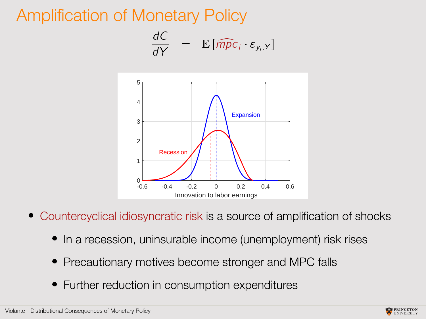### Amplification of Monetary Policy

$$
\frac{dC}{dY} = \mathbb{E} [\widehat{mpc}_i \cdot \varepsilon_{y_i, Y}]
$$



- Countercyclical idiosyncratic risk is a source of amplification of shocks
	- In a recession, uninsurable income (unemployment) risk rises
	- Precautionary motives become stronger and MPC falls
	- Further reduction in consumption expenditures

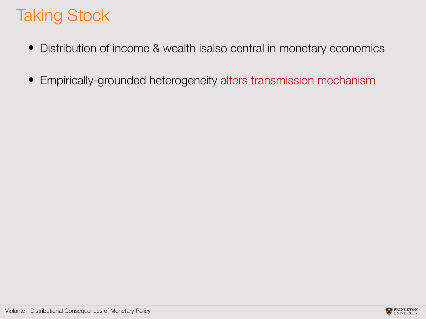### Taking Stock

- Distribution of income & wealth isalso central in monetary economics
- Empirically-grounded heterogeneity alters transmission mechanism

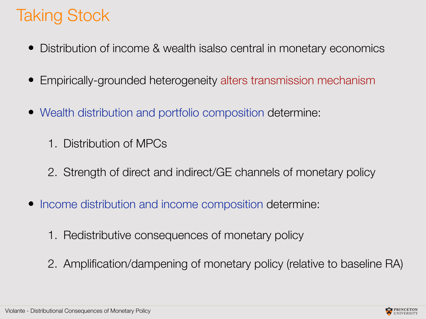### Taking Stock

- Distribution of income & wealth isalso central in monetary economics
- Empirically-grounded heterogeneity alters transmission mechanism
- Wealth distribution and portfolio composition determine:
	- 1. Distribution of MPCs
	- 2. Strength of direct and indirect/GE channels of monetary policy
- Income distribution and income composition determine:
	- 1. Redistributive consequences of monetary policy
	- 2. Amplification/dampening of monetary policy (relative to baseline RA)